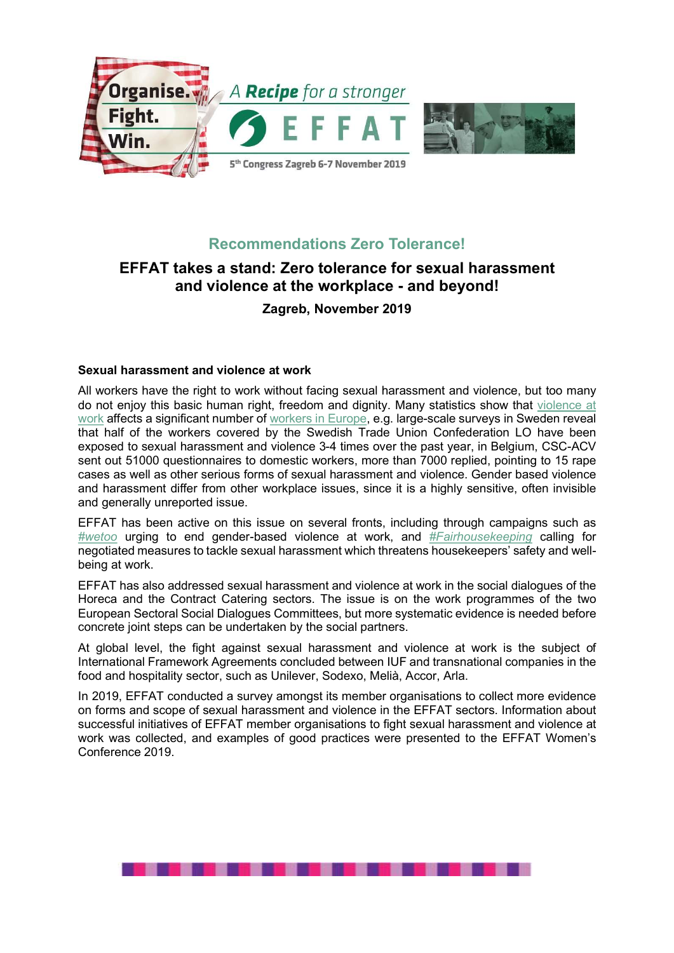



# Recommendations Zero Tolerance!

# EFFAT takes a stand: Zero tolerance for sexual harassment and violence at the workplace - and beyond!

Zagreb, November 2019

## Sexual harassment and violence at work

All workers have the right to work without facing sexual harassment and violence, but too many do not enjoy this basic human right, freedom and dignity. Many statistics show that violence at work affects a significant number of workers in Europe, e.g. large-scale surveys in Sweden reveal that half of the workers covered by the Swedish Trade Union Confederation LO have been exposed to sexual harassment and violence 3-4 times over the past year, in Belgium, CSC-ACV sent out 51000 questionnaires to domestic workers, more than 7000 replied, pointing to 15 rape cases as well as other serious forms of sexual harassment and violence. Gender based violence and harassment differ from other workplace issues, since it is a highly sensitive, often invisible and generally unreported issue.

EFFAT has been active on this issue on several fronts, including through campaigns such as #wetoo urging to end gender-based violence at work, and #Fairhousekeeping calling for negotiated measures to tackle sexual harassment which threatens housekeepers' safety and wellbeing at work.

EFFAT has also addressed sexual harassment and violence at work in the social dialogues of the Horeca and the Contract Catering sectors. The issue is on the work programmes of the two European Sectoral Social Dialogues Committees, but more systematic evidence is needed before concrete joint steps can be undertaken by the social partners.

At global level, the fight against sexual harassment and violence at work is the subject of International Framework Agreements concluded between IUF and transnational companies in the food and hospitality sector, such as Unilever, Sodexo, Melià, Accor, Arla.

In 2019, EFFAT conducted a survey amongst its member organisations to collect more evidence on forms and scope of sexual harassment and violence in the EFFAT sectors. Information about successful initiatives of EFFAT member organisations to fight sexual harassment and violence at work was collected, and examples of good practices were presented to the EFFAT Women's Conference 2019.

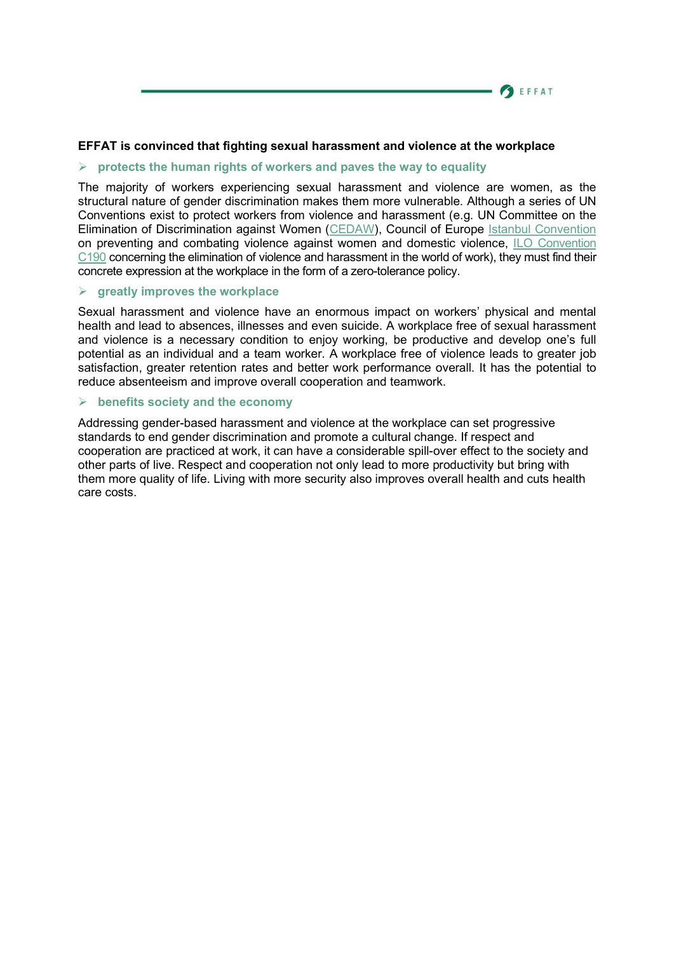### **SEFFAT**

### EFFAT is convinced that fighting sexual harassment and violence at the workplace

#### $\triangleright$  protects the human rights of workers and paves the way to equality

The majority of workers experiencing sexual harassment and violence are women, as the structural nature of gender discrimination makes them more vulnerable. Although a series of UN Conventions exist to protect workers from violence and harassment (e.g. UN Committee on the Elimination of Discrimination against Women (CEDAW), Council of Europe Istanbul Convention on preventing and combating violence against women and domestic violence, ILO Convention C190 concerning the elimination of violence and harassment in the world of work), they must find their concrete expression at the workplace in the form of a zero-tolerance policy.

### $\triangleright$  greatly improves the workplace

Sexual harassment and violence have an enormous impact on workers' physical and mental health and lead to absences, illnesses and even suicide. A workplace free of sexual harassment and violence is a necessary condition to enjoy working, be productive and develop one's full potential as an individual and a team worker. A workplace free of violence leads to greater job satisfaction, greater retention rates and better work performance overall. It has the potential to reduce absenteeism and improve overall cooperation and teamwork.

#### $\triangleright$  benefits society and the economy

Addressing gender-based harassment and violence at the workplace can set progressive standards to end gender discrimination and promote a cultural change. If respect and cooperation are practiced at work, it can have a considerable spill-over effect to the society and other parts of live. Respect and cooperation not only lead to more productivity but bring with them more quality of life. Living with more security also improves overall health and cuts health care costs.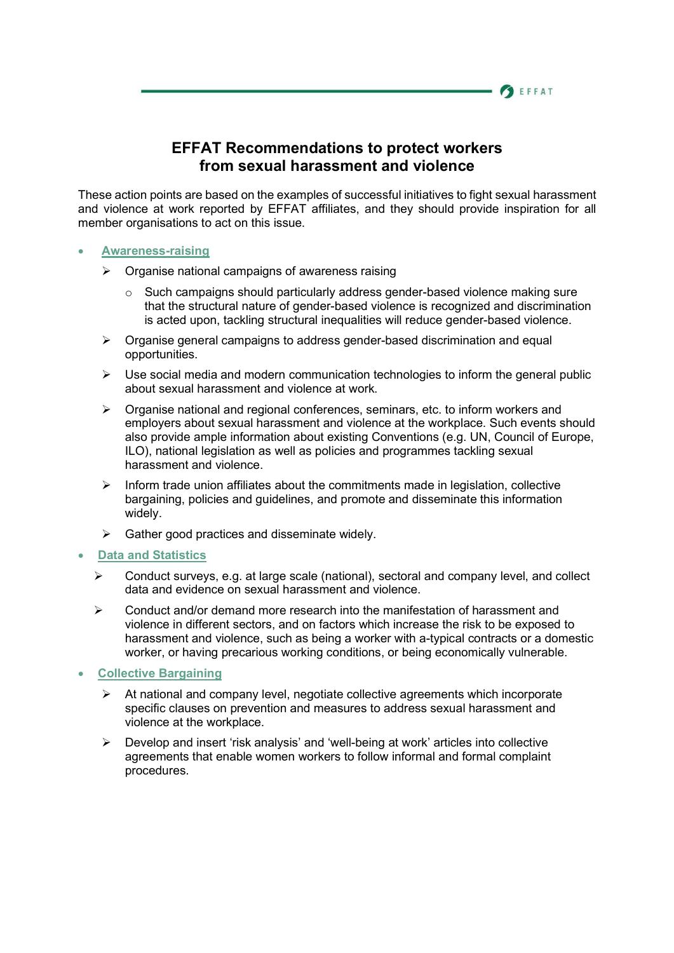## EFFAT Recommendations to protect workers from sexual harassment and violence

**SEFFAT** 

These action points are based on the examples of successful initiatives to fight sexual harassment and violence at work reported by EFFAT affiliates, and they should provide inspiration for all member organisations to act on this issue.

### Awareness-raising

- $\triangleright$  Organise national campaigns of awareness raising
	- $\circ$  Such campaigns should particularly address gender-based violence making sure that the structural nature of gender-based violence is recognized and discrimination is acted upon, tackling structural inequalities will reduce gender-based violence.
- $\triangleright$  Organise general campaigns to address gender-based discrimination and equal opportunities.
- $\triangleright$  Use social media and modern communication technologies to inform the general public about sexual harassment and violence at work.
- $\triangleright$  Organise national and regional conferences, seminars, etc. to inform workers and employers about sexual harassment and violence at the workplace. Such events should also provide ample information about existing Conventions (e.g. UN, Council of Europe, ILO), national legislation as well as policies and programmes tackling sexual harassment and violence.
- $\triangleright$  Inform trade union affiliates about the commitments made in legislation, collective bargaining, policies and guidelines, and promote and disseminate this information widely.
- Gather good practices and disseminate widely.

## Data and Statistics

- $\triangleright$  Conduct surveys, e.g. at large scale (national), sectoral and company level, and collect data and evidence on sexual harassment and violence.
- Conduct and/or demand more research into the manifestation of harassment and violence in different sectors, and on factors which increase the risk to be exposed to harassment and violence, such as being a worker with a-typical contracts or a domestic worker, or having precarious working conditions, or being economically vulnerable.
- Collective Bargaining
	- $\triangleright$  At national and company level, negotiate collective agreements which incorporate specific clauses on prevention and measures to address sexual harassment and violence at the workplace.
	- $\triangleright$  Develop and insert 'risk analysis' and 'well-being at work' articles into collective agreements that enable women workers to follow informal and formal complaint procedures.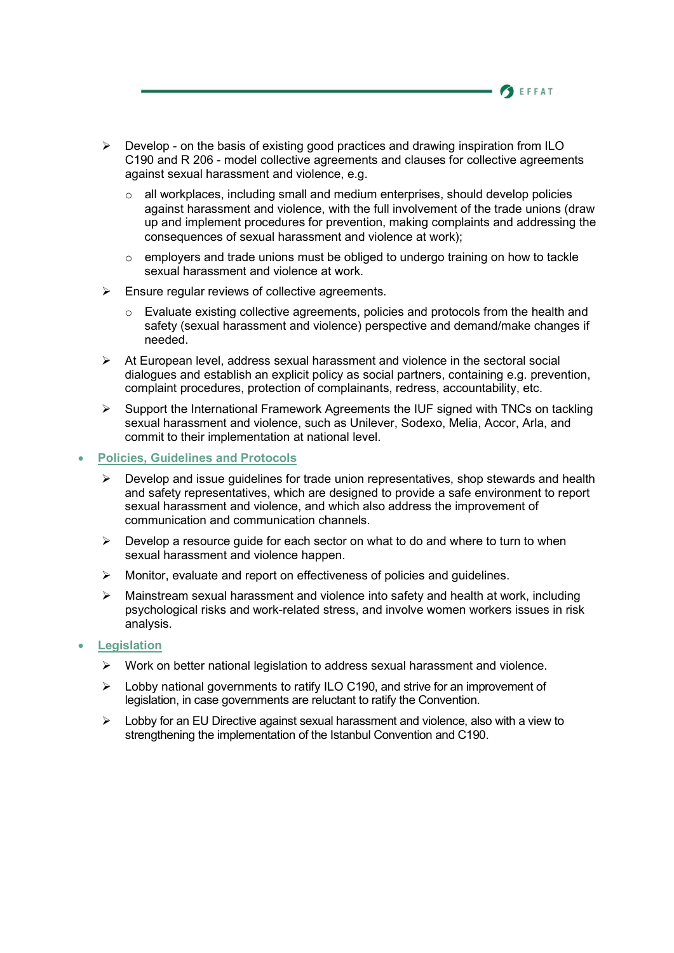- $\triangleright$  Develop on the basis of existing good practices and drawing inspiration from ILO C190 and R 206 - model collective agreements and clauses for collective agreements against sexual harassment and violence, e.g.
	- $\circ$  all workplaces, including small and medium enterprises, should develop policies against harassment and violence, with the full involvement of the trade unions (draw up and implement procedures for prevention, making complaints and addressing the consequences of sexual harassment and violence at work);

**BEFFAT** 

- o employers and trade unions must be obliged to undergo training on how to tackle sexual harassment and violence at work.
- $\triangleright$  Ensure regular reviews of collective agreements.
	- o Evaluate existing collective agreements, policies and protocols from the health and safety (sexual harassment and violence) perspective and demand/make changes if needed.
- $\triangleright$  At European level, address sexual harassment and violence in the sectoral social dialogues and establish an explicit policy as social partners, containing e.g. prevention, complaint procedures, protection of complainants, redress, accountability, etc.
- $\triangleright$  Support the International Framework Agreements the IUF signed with TNCs on tackling sexual harassment and violence, such as Unilever, Sodexo, Melia, Accor, Arla, and commit to their implementation at national level.
- Policies, Guidelines and Protocols
	- $\triangleright$  Develop and issue guidelines for trade union representatives, shop stewards and health and safety representatives, which are designed to provide a safe environment to report sexual harassment and violence, and which also address the improvement of communication and communication channels.
	- $\triangleright$  Develop a resource quide for each sector on what to do and where to turn to when sexual harassment and violence happen.
	- Monitor, evaluate and report on effectiveness of policies and guidelines.
	- $\triangleright$  Mainstream sexual harassment and violence into safety and health at work, including psychological risks and work-related stress, and involve women workers issues in risk analysis.
- **Legislation** 
	- $\triangleright$  Work on better national legislation to address sexual harassment and violence.
	- $\triangleright$  Lobby national governments to ratify ILO C190, and strive for an improvement of legislation, in case governments are reluctant to ratify the Convention.
	- $\triangleright$  Lobby for an EU Directive against sexual harassment and violence, also with a view to strengthening the implementation of the Istanbul Convention and C190.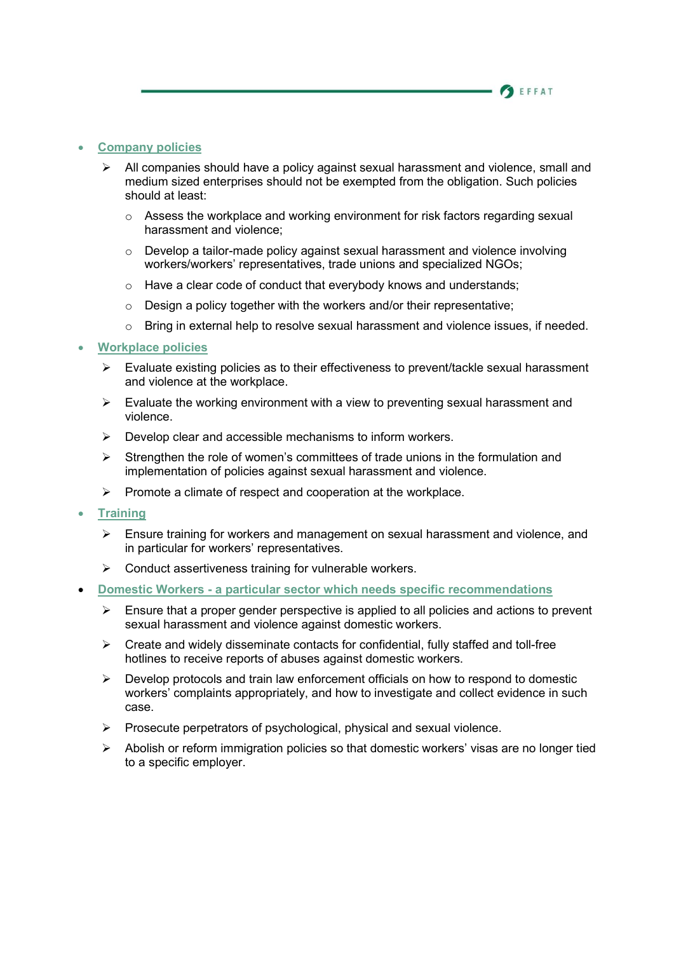## **BEFFAT**

## Company policies

- All companies should have a policy against sexual harassment and violence, small and medium sized enterprises should not be exempted from the obligation. Such policies should at least:
	- o Assess the workplace and working environment for risk factors regarding sexual harassment and violence;
	- $\circ$  Develop a tailor-made policy against sexual harassment and violence involving workers/workers' representatives, trade unions and specialized NGOs;
	- o Have a clear code of conduct that everybody knows and understands;
	- $\circ$  Design a policy together with the workers and/or their representative;
	- $\circ$  Bring in external help to resolve sexual harassment and violence issues, if needed.

### Workplace policies

- $\triangleright$  Evaluate existing policies as to their effectiveness to prevent/tackle sexual harassment and violence at the workplace.
- $\triangleright$  Evaluate the working environment with a view to preventing sexual harassment and violence.
- $\triangleright$  Develop clear and accessible mechanisms to inform workers.
- $\triangleright$  Strengthen the role of women's committees of trade unions in the formulation and implementation of policies against sexual harassment and violence.
- $\triangleright$  Promote a climate of respect and cooperation at the workplace.
- **Training** 
	- $\triangleright$  Ensure training for workers and management on sexual harassment and violence, and in particular for workers' representatives.
	- $\triangleright$  Conduct assertiveness training for vulnerable workers.
- Domestic Workers a particular sector which needs specific recommendations
	- $\triangleright$  Ensure that a proper gender perspective is applied to all policies and actions to prevent sexual harassment and violence against domestic workers.
	- $\triangleright$  Create and widely disseminate contacts for confidential, fully staffed and toll-free hotlines to receive reports of abuses against domestic workers.
	- $\triangleright$  Develop protocols and train law enforcement officials on how to respond to domestic workers' complaints appropriately, and how to investigate and collect evidence in such case.
	- $\triangleright$  Prosecute perpetrators of psychological, physical and sexual violence.
	- Abolish or reform immigration policies so that domestic workers' visas are no longer tied to a specific employer.